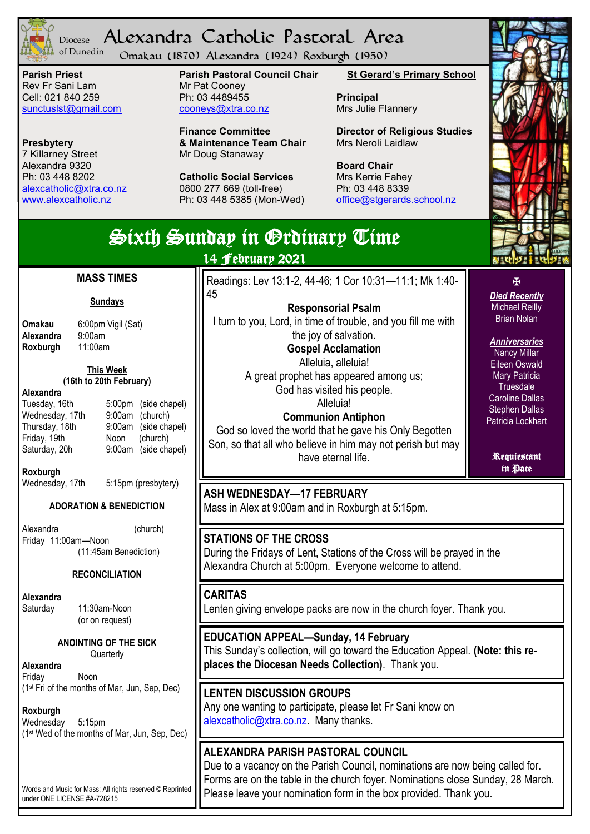

#### Alexandra Catholic Pastoral Area Diocese of Dunedin

Omakau (1870) Alexandra (1924) Roxburgh (1950)

**Parish Priest** Rev Fr Sani Lam Cell: 021 840 259 [sunctuslst@gmail.com](mailto:mailto:sunctuslst@gmail.com)

**Presbytery** 7 Killarney Street Alexandra 9320 Ph: 03 448 8202 [alexcatholic@xtra.co.nz](mailto:mailto:alexcatholic@xtra.co.nz) www.alexcatholic.nz

**Parish Pastoral Council Chair** Mr Pat Cooney Ph: 03 4489455 cooneys@xtra.co.nz

**Finance Committee & Maintenance Team Chair** Mr Doug Stanaway

**Catholic Social Services**  0800 277 669 (toll-free) Ph: 03 448 5385 (Mon-Wed) **St Gerard's Primary School**

**Principal** Mrs Julie Flannery

Readings: Lev 13:1-2, 44-46; 1 Cor 10:31—11:1; Mk 1:40-

**Responsorial Psalm** I turn to you, Lord, in time of trouble, and you fill me with the joy of salvation. **Gospel Acclamation** Alleluia, alleluia! A great prophet has appeared among us; God has visited his people. Alleluia! **Communion Antiphon** God so loved the world that he gave his Only Begotten Son, so that all who believe in him may not perish but may have eternal life.

**Director of Religious Studies** Mrs Neroli Laidlaw

**Board Chair** Mrs Kerrie Fahey Ph: 03 448 8339 [office@stgerards.school.nz](mailto:mailto:office@stgerards.school.nz)



 $\overline{\mathbf{M}}$ *Died Recently* Michael Reilly Brian Nolan

*Anniversaries* Nancy Millar Eileen Oswald Mary Patricia **Truesdale** Caroline Dallas Stephen Dallas Patricia Lockhart

Requiescant in Pace

Sixth Sunday in Ordinary Time

14 February 2021

45

#### **MASS TIMES**

#### **Sundays**

**Alexandra** 9:00am<br>**Roxburgh** 11:00am **Roxburgh** 

**Omakau** 6:00pm Vigil (Sat)

#### **This Week (16th to 20th February)**

**Alexandra**

Tuesday, 16th 5:00pm (side chapel) Wednesday, 17th 9:00am (church) Thursday, 18th 9:00am (side chapel)<br>Friday, 19th Noon (church) Friday, 19th<br>Saturday, 20h

**Roxburgh**

Wednesday, 17th 5:15pm (presbytery)

## **ADORATION & BENEDICTION**

Alexandra (church) Friday 11:00am—Noon (11:45am Benediction)

## **RECONCILIATION**

**Alexandra**

Saturday 11:30am-Noon (or on request)

> **ANOINTING OF THE SICK Quarterly**

**Alexandra** Friday Noon (1st Fri of the months of Mar, Jun, Sep, Dec)

**Roxburgh**

Wednesday 5:15pm (1st Wed of the months of Mar, Jun, Sep, Dec) **STATIONS OF THE CROSS** During the Fridays of Lent, Stations of the Cross will be prayed in the Alexandra Church at 5:00pm. Everyone welcome to attend.

Mass in Alex at 9:00am and in Roxburgh at 5:15pm.

**ASH WEDNESDAY—17 FEBRUARY**

## **CARITAS**

Lenten giving envelope packs are now in the church foyer. Thank you.

**EDUCATION APPEAL—Sunday, 14 February** This Sunday's collection, will go toward the Education Appeal. **(Note: this replaces the Diocesan Needs Collection)**. Thank you.

**LENTEN DISCUSSION GROUPS** Any one wanting to participate, please let Fr Sani know on alexcatholic@xtra.co.nz. Many thanks.

## **ALEXANDRA PARISH PASTORAL COUNCIL**

Due to a vacancy on the Parish Council, nominations are now being called for. Forms are on the table in the church foyer. Nominations close Sunday, 28 March. Please leave your nomination form in the box provided. Thank you.

Words and Music for Mass: All rights reserved © Reprinted under ONE LICENSE #A-728215

9:00am (side chapel)